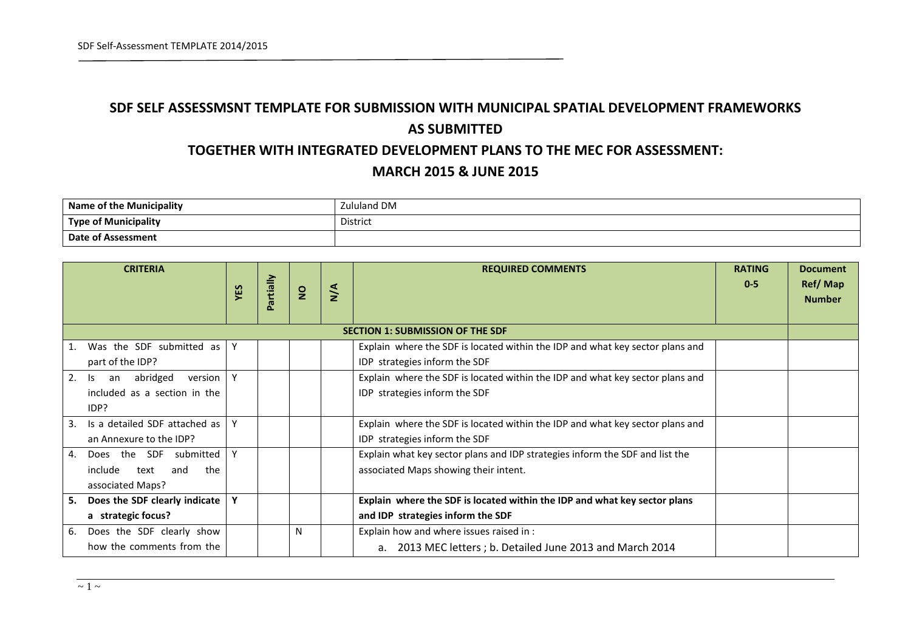## **SDF SELF ASSESSMSNT TEMPLATE FOR SUBMISSION WITH MUNICIPAL SPATIAL DEVELOPMENT FRAMEWORKS AS SUBMITTED**

## **TOGETHER WITH INTEGRATED DEVELOPMENT PLANS TO THE MEC FOR ASSESSMENT: MARCH 2015 & JUNE 2015**

| <b>Municipality</b><br><b>Name</b> | uland DM<br>7., |
|------------------------------------|-----------------|
| <b>Type of Municipality</b>        | District        |
| Date of Assessment                 |                 |

| <b>CRITERIA</b>                         |                                   |  |               | <b>REQUIRED COMMENTS</b> | <b>RATING</b>                                                                 | <b>Document</b>          |  |  |  |  |
|-----------------------------------------|-----------------------------------|--|---------------|--------------------------|-------------------------------------------------------------------------------|--------------------------|--|--|--|--|
|                                         | artially<br>YES<br>$\overline{2}$ |  | $\frac{4}{5}$ |                          | $0 - 5$                                                                       | Ref/Map<br><b>Number</b> |  |  |  |  |
|                                         |                                   |  |               |                          |                                                                               |                          |  |  |  |  |
| <b>SECTION 1: SUBMISSION OF THE SDF</b> |                                   |  |               |                          |                                                                               |                          |  |  |  |  |
| Was the SDF submitted as<br>1.          | Υ                                 |  |               |                          | Explain where the SDF is located within the IDP and what key sector plans and |                          |  |  |  |  |
| part of the IDP?                        |                                   |  |               |                          | IDP strategies inform the SDF                                                 |                          |  |  |  |  |
| abridged<br>2.<br>version<br>ls.<br>an  | Y                                 |  |               |                          | Explain where the SDF is located within the IDP and what key sector plans and |                          |  |  |  |  |
| included as a section in the            |                                   |  |               |                          | IDP strategies inform the SDF                                                 |                          |  |  |  |  |
| IDP?                                    |                                   |  |               |                          |                                                                               |                          |  |  |  |  |
| Is a detailed SDF attached as<br>3.     |                                   |  |               |                          | Explain where the SDF is located within the IDP and what key sector plans and |                          |  |  |  |  |
| an Annexure to the IDP?                 |                                   |  |               |                          | IDP strategies inform the SDF                                                 |                          |  |  |  |  |
| Does the SDF submitted<br>4.            |                                   |  |               |                          | Explain what key sector plans and IDP strategies inform the SDF and list the  |                          |  |  |  |  |
| include<br>text<br>and<br>the           |                                   |  |               |                          | associated Maps showing their intent.                                         |                          |  |  |  |  |
| associated Maps?                        |                                   |  |               |                          |                                                                               |                          |  |  |  |  |
| Does the SDF clearly indicate<br>5.     | Υ                                 |  |               |                          | Explain where the SDF is located within the IDP and what key sector plans     |                          |  |  |  |  |
| a strategic focus?                      |                                   |  |               |                          | and IDP strategies inform the SDF                                             |                          |  |  |  |  |
| Does the SDF clearly show<br>6.         |                                   |  | N             |                          | Explain how and where issues raised in :                                      |                          |  |  |  |  |
| how the comments from the               |                                   |  |               |                          | 2013 MEC letters ; b. Detailed June 2013 and March 2014                       |                          |  |  |  |  |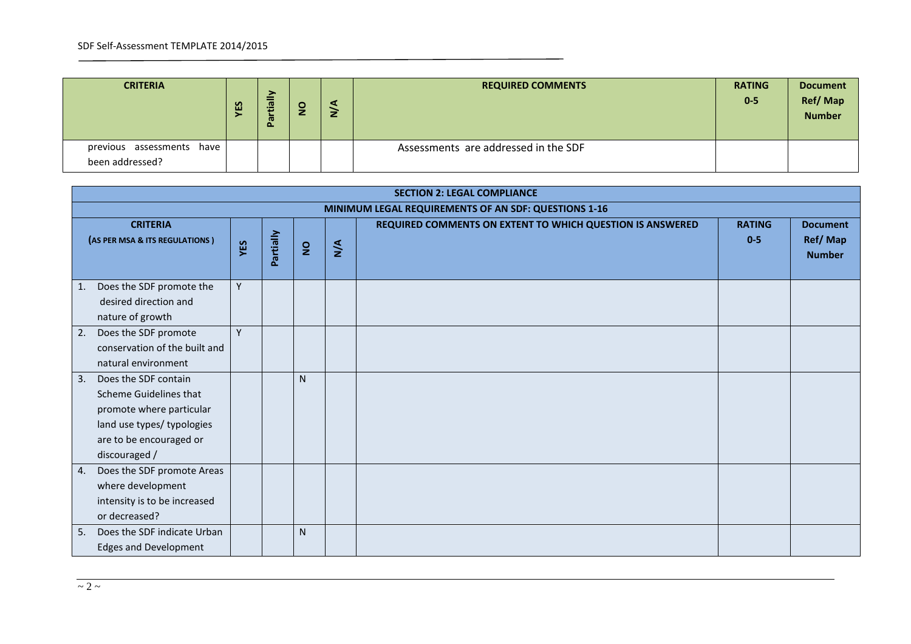| <b>CRITERIA</b>                              | ΕS | ≧<br>ര<br>÷<br>$\boldsymbol{\sigma}$<br>o. | $\circ$<br>$\overline{z}$ | ч<br>z | <b>REQUIRED COMMENTS</b>             | <b>RATING</b><br>$0-5$ | <b>Document</b><br><b>Ref/Map</b><br><b>Number</b> |
|----------------------------------------------|----|--------------------------------------------|---------------------------|--------|--------------------------------------|------------------------|----------------------------------------------------|
| previous assessments have<br>been addressed? |    |                                            |                           |        | Assessments are addressed in the SDF |                        |                                                    |

| <b>SECTION 2: LEGAL COMPLIANCE</b>                                                                                                                         |     |           |                |     |                                                           |                          |                                             |  |  |  |  |  |
|------------------------------------------------------------------------------------------------------------------------------------------------------------|-----|-----------|----------------|-----|-----------------------------------------------------------|--------------------------|---------------------------------------------|--|--|--|--|--|
|                                                                                                                                                            |     |           |                |     | MINIMUM LEGAL REQUIREMENTS OF AN SDF: QUESTIONS 1-16      |                          |                                             |  |  |  |  |  |
| <b>CRITERIA</b><br>(AS PER MSA & ITS REGULATIONS)                                                                                                          | YES | Partially | $\overline{S}$ | N/A | REQUIRED COMMENTS ON EXTENT TO WHICH QUESTION IS ANSWERED | <b>RATING</b><br>$0 - 5$ | <b>Document</b><br>Ref/Map<br><b>Number</b> |  |  |  |  |  |
| Does the SDF promote the<br>1.<br>desired direction and<br>nature of growth                                                                                | Y   |           |                |     |                                                           |                          |                                             |  |  |  |  |  |
| Does the SDF promote<br>2.<br>conservation of the built and<br>natural environment                                                                         | Y   |           |                |     |                                                           |                          |                                             |  |  |  |  |  |
| Does the SDF contain<br>3.<br>Scheme Guidelines that<br>promote where particular<br>land use types/ typologies<br>are to be encouraged or<br>discouraged / |     |           | N              |     |                                                           |                          |                                             |  |  |  |  |  |
| Does the SDF promote Areas<br>4.<br>where development<br>intensity is to be increased<br>or decreased?                                                     |     |           |                |     |                                                           |                          |                                             |  |  |  |  |  |
| Does the SDF indicate Urban<br>5.<br><b>Edges and Development</b>                                                                                          |     |           | N              |     |                                                           |                          |                                             |  |  |  |  |  |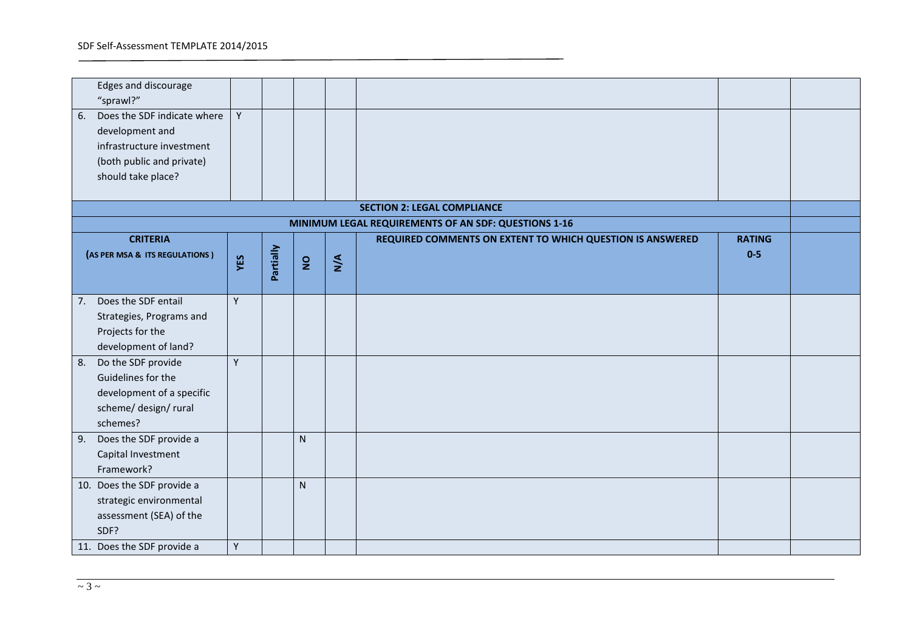| Edges and discourage<br>"sprawl?"                                                                                                    |     |           |                |     |                                                           |               |  |  |  |  |  |  |  |
|--------------------------------------------------------------------------------------------------------------------------------------|-----|-----------|----------------|-----|-----------------------------------------------------------|---------------|--|--|--|--|--|--|--|
| Does the SDF indicate where<br>6.<br>development and<br>infrastructure investment<br>(both public and private)<br>should take place? | Y   |           |                |     |                                                           |               |  |  |  |  |  |  |  |
| <b>SECTION 2: LEGAL COMPLIANCE</b><br>MINIMUM LEGAL REQUIREMENTS OF AN SDF: QUESTIONS 1-16                                           |     |           |                |     |                                                           |               |  |  |  |  |  |  |  |
| <b>CRITERIA</b>                                                                                                                      |     |           |                |     | REQUIRED COMMENTS ON EXTENT TO WHICH QUESTION IS ANSWERED | <b>RATING</b> |  |  |  |  |  |  |  |
| (AS PER MSA & ITS REGULATIONS)                                                                                                       | YES | Partially | $\overline{2}$ | N/A |                                                           | $0-5$         |  |  |  |  |  |  |  |
| Does the SDF entail<br>7.<br>Strategies, Programs and<br>Projects for the<br>development of land?                                    | Y   |           |                |     |                                                           |               |  |  |  |  |  |  |  |
| Do the SDF provide<br>8.<br>Guidelines for the<br>development of a specific<br>scheme/ design/ rural<br>schemes?                     | Y   |           |                |     |                                                           |               |  |  |  |  |  |  |  |
| Does the SDF provide a<br>9.<br>Capital Investment<br>Framework?                                                                     |     |           | N              |     |                                                           |               |  |  |  |  |  |  |  |
| 10. Does the SDF provide a<br>strategic environmental<br>assessment (SEA) of the<br>SDF?<br>11. Does the SDF provide a               | Y   |           | N              |     |                                                           |               |  |  |  |  |  |  |  |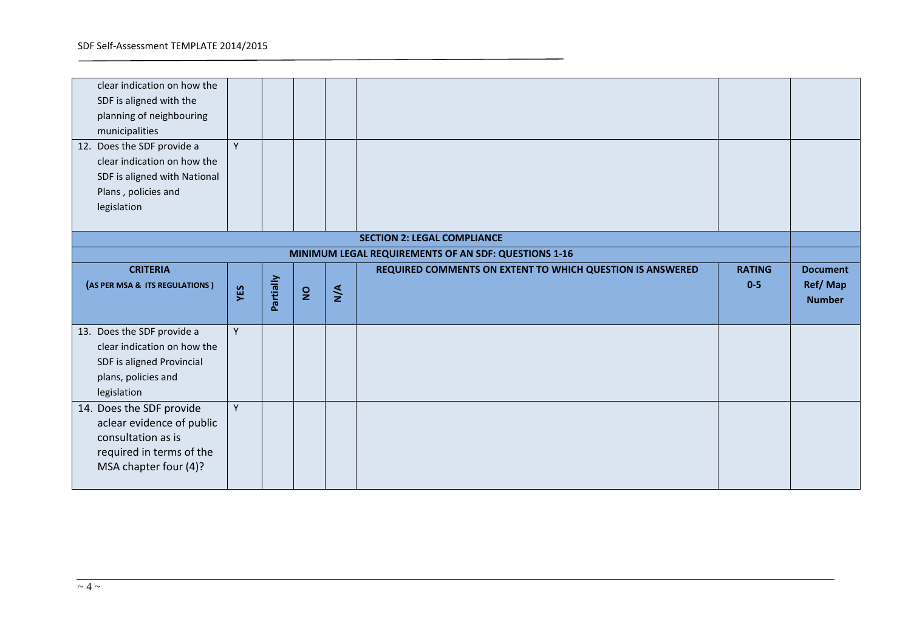| clear indication on how the<br>SDF is aligned with the<br>planning of neighbouring<br>municipalities<br>12. Does the SDF provide a<br>clear indication on how the<br>SDF is aligned with National<br>Plans, policies and<br>legislation | Y   |           |                |     |                                                           |                          |                                             |  |  |  |
|-----------------------------------------------------------------------------------------------------------------------------------------------------------------------------------------------------------------------------------------|-----|-----------|----------------|-----|-----------------------------------------------------------|--------------------------|---------------------------------------------|--|--|--|
|                                                                                                                                                                                                                                         |     |           |                |     | <b>SECTION 2: LEGAL COMPLIANCE</b>                        |                          |                                             |  |  |  |
| MINIMUM LEGAL REQUIREMENTS OF AN SDF: QUESTIONS 1-16                                                                                                                                                                                    |     |           |                |     |                                                           |                          |                                             |  |  |  |
| <b>CRITERIA</b><br>(AS PER MSA & ITS REGULATIONS)                                                                                                                                                                                       | YES | Partially | $\overline{2}$ | N/A | REQUIRED COMMENTS ON EXTENT TO WHICH QUESTION IS ANSWERED | <b>RATING</b><br>$0 - 5$ | <b>Document</b><br>Ref/Map<br><b>Number</b> |  |  |  |
| 13. Does the SDF provide a<br>clear indication on how the<br>SDF is aligned Provincial<br>plans, policies and<br>legislation                                                                                                            | Y   |           |                |     |                                                           |                          |                                             |  |  |  |
| 14. Does the SDF provide<br>aclear evidence of public<br>consultation as is<br>required in terms of the<br>MSA chapter four (4)?                                                                                                        | Y   |           |                |     |                                                           |                          |                                             |  |  |  |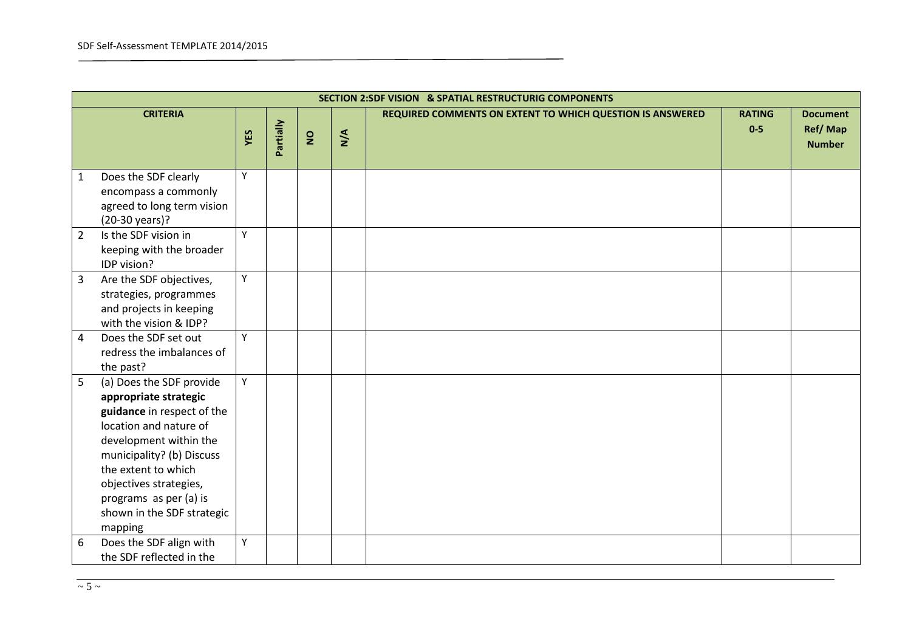|                | <b>SECTION 2:SDF VISION &amp; SPATIAL RESTRUCTURIG COMPONENTS</b>                                                                                                                                                                                                                    |     |           |                |     |                                                           |                        |                                             |  |  |  |  |
|----------------|--------------------------------------------------------------------------------------------------------------------------------------------------------------------------------------------------------------------------------------------------------------------------------------|-----|-----------|----------------|-----|-----------------------------------------------------------|------------------------|---------------------------------------------|--|--|--|--|
|                | <b>CRITERIA</b>                                                                                                                                                                                                                                                                      | YES | Partially | $\overline{2}$ | N/A | REQUIRED COMMENTS ON EXTENT TO WHICH QUESTION IS ANSWERED | <b>RATING</b><br>$0-5$ | <b>Document</b><br>Ref/Map<br><b>Number</b> |  |  |  |  |
| 1              | Does the SDF clearly<br>encompass a commonly<br>agreed to long term vision<br>(20-30 years)?                                                                                                                                                                                         | Y   |           |                |     |                                                           |                        |                                             |  |  |  |  |
| $\overline{2}$ | Is the SDF vision in<br>keeping with the broader<br>IDP vision?                                                                                                                                                                                                                      | Y   |           |                |     |                                                           |                        |                                             |  |  |  |  |
| 3              | Are the SDF objectives,<br>strategies, programmes<br>and projects in keeping<br>with the vision & IDP?                                                                                                                                                                               | Y   |           |                |     |                                                           |                        |                                             |  |  |  |  |
| $\overline{4}$ | Does the SDF set out<br>redress the imbalances of<br>the past?                                                                                                                                                                                                                       | Y   |           |                |     |                                                           |                        |                                             |  |  |  |  |
| 5              | (a) Does the SDF provide<br>appropriate strategic<br>guidance in respect of the<br>location and nature of<br>development within the<br>municipality? (b) Discuss<br>the extent to which<br>objectives strategies,<br>programs as per (a) is<br>shown in the SDF strategic<br>mapping | Y   |           |                |     |                                                           |                        |                                             |  |  |  |  |
| 6              | Does the SDF align with<br>the SDF reflected in the                                                                                                                                                                                                                                  | Y   |           |                |     |                                                           |                        |                                             |  |  |  |  |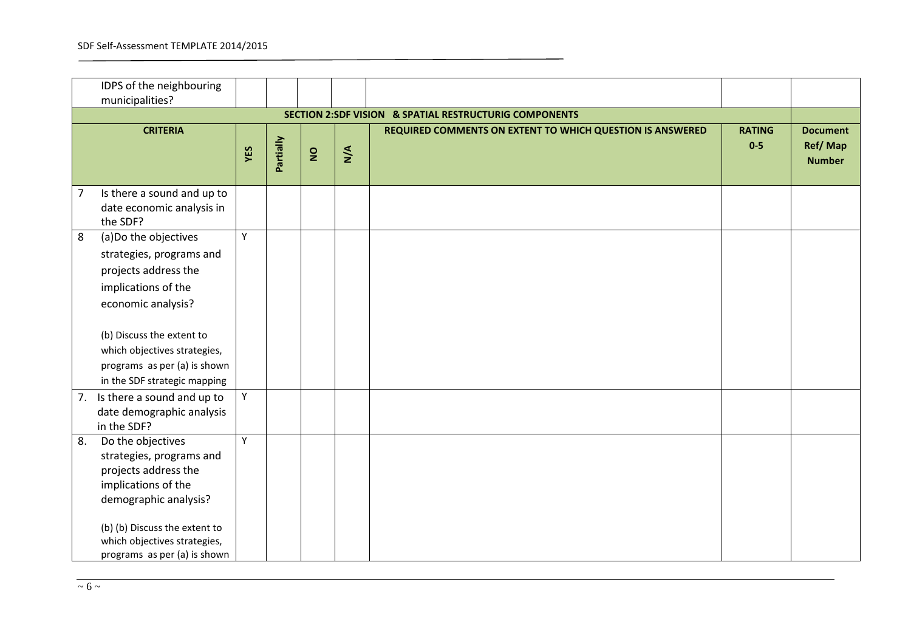|                | IDPS of the neighbouring      |     |           |                |     |                                                           |               |                 |
|----------------|-------------------------------|-----|-----------|----------------|-----|-----------------------------------------------------------|---------------|-----------------|
|                | municipalities?               |     |           |                |     |                                                           |               |                 |
|                |                               |     |           |                |     | SECTION 2:SDF VISION & SPATIAL RESTRUCTURIG COMPONENTS    |               |                 |
|                | <b>CRITERIA</b>               |     |           |                |     | REQUIRED COMMENTS ON EXTENT TO WHICH QUESTION IS ANSWERED | <b>RATING</b> | <b>Document</b> |
|                |                               |     |           |                |     |                                                           | $0-5$         | Ref/Map         |
|                |                               | YES | Partially | $\overline{a}$ | N/A |                                                           |               | <b>Number</b>   |
|                |                               |     |           |                |     |                                                           |               |                 |
| $\overline{7}$ | Is there a sound and up to    |     |           |                |     |                                                           |               |                 |
|                | date economic analysis in     |     |           |                |     |                                                           |               |                 |
|                | the SDF?                      |     |           |                |     |                                                           |               |                 |
| 8              | (a) Do the objectives         | Υ   |           |                |     |                                                           |               |                 |
|                | strategies, programs and      |     |           |                |     |                                                           |               |                 |
|                | projects address the          |     |           |                |     |                                                           |               |                 |
|                | implications of the           |     |           |                |     |                                                           |               |                 |
|                | economic analysis?            |     |           |                |     |                                                           |               |                 |
|                |                               |     |           |                |     |                                                           |               |                 |
|                | (b) Discuss the extent to     |     |           |                |     |                                                           |               |                 |
|                | which objectives strategies,  |     |           |                |     |                                                           |               |                 |
|                | programs as per (a) is shown  |     |           |                |     |                                                           |               |                 |
|                | in the SDF strategic mapping  |     |           |                |     |                                                           |               |                 |
| 7.             | Is there a sound and up to    | Y   |           |                |     |                                                           |               |                 |
|                | date demographic analysis     |     |           |                |     |                                                           |               |                 |
|                | in the SDF?                   |     |           |                |     |                                                           |               |                 |
| 8.             | Do the objectives             | Υ   |           |                |     |                                                           |               |                 |
|                | strategies, programs and      |     |           |                |     |                                                           |               |                 |
|                | projects address the          |     |           |                |     |                                                           |               |                 |
|                | implications of the           |     |           |                |     |                                                           |               |                 |
|                | demographic analysis?         |     |           |                |     |                                                           |               |                 |
|                |                               |     |           |                |     |                                                           |               |                 |
|                | (b) (b) Discuss the extent to |     |           |                |     |                                                           |               |                 |
|                | which objectives strategies,  |     |           |                |     |                                                           |               |                 |
|                | programs as per (a) is shown  |     |           |                |     |                                                           |               |                 |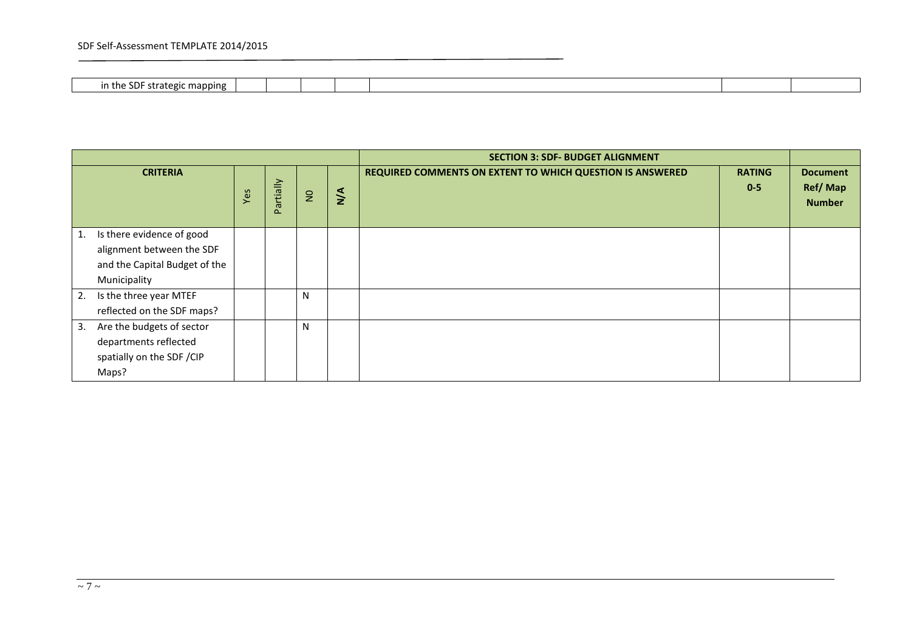## SDF Self-Assessment TEMPLATE 2014/2015

 $\overline{\phantom{a}}$ 

| mannini<br>. . ategic<br>in t<br>. . |  |  |  |  |
|--------------------------------------|--|--|--|--|

|    |                                                                                                         |     |           |                |               | <b>SECTION 3: SDF- BUDGET ALIGNMENT</b>                   |                          |                                             |
|----|---------------------------------------------------------------------------------------------------------|-----|-----------|----------------|---------------|-----------------------------------------------------------|--------------------------|---------------------------------------------|
|    | <b>CRITERIA</b>                                                                                         | Yes | Partially | $\overline{a}$ | $\frac{4}{2}$ | REQUIRED COMMENTS ON EXTENT TO WHICH QUESTION IS ANSWERED | <b>RATING</b><br>$0 - 5$ | <b>Document</b><br>Ref/Map<br><b>Number</b> |
| 1. | Is there evidence of good<br>alignment between the SDF<br>and the Capital Budget of the<br>Municipality |     |           |                |               |                                                           |                          |                                             |
| 2. | Is the three year MTEF<br>reflected on the SDF maps?                                                    |     |           | N              |               |                                                           |                          |                                             |
| 3. | Are the budgets of sector<br>departments reflected<br>spatially on the SDF / CIP<br>Maps?               |     |           | N              |               |                                                           |                          |                                             |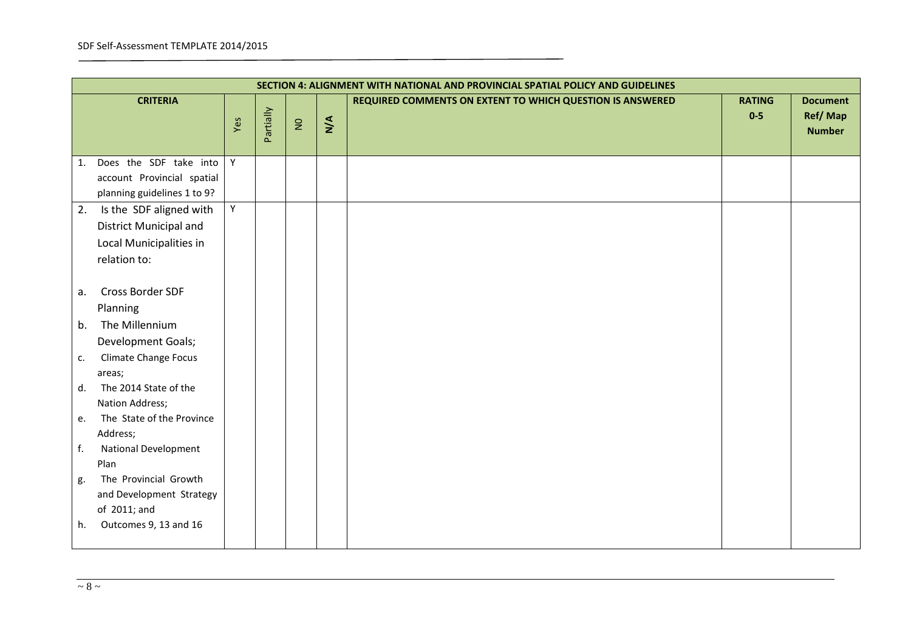|    | SECTION 4: ALIGNMENT WITH NATIONAL AND PROVINCIAL SPATIAL POLICY AND GUIDELINES |     |           |              |     |                                                           |                        |                                             |  |  |  |  |
|----|---------------------------------------------------------------------------------|-----|-----------|--------------|-----|-----------------------------------------------------------|------------------------|---------------------------------------------|--|--|--|--|
|    | <b>CRITERIA</b>                                                                 | Yes | Partially | $\mathsf{S}$ | N/A | REQUIRED COMMENTS ON EXTENT TO WHICH QUESTION IS ANSWERED | <b>RATING</b><br>$0-5$ | <b>Document</b><br>Ref/Map<br><b>Number</b> |  |  |  |  |
| 1. | Does the SDF take into                                                          | Y   |           |              |     |                                                           |                        |                                             |  |  |  |  |
|    | account Provincial spatial                                                      |     |           |              |     |                                                           |                        |                                             |  |  |  |  |
|    | planning guidelines 1 to 9?                                                     |     |           |              |     |                                                           |                        |                                             |  |  |  |  |
| 2. | Is the SDF aligned with                                                         | Υ   |           |              |     |                                                           |                        |                                             |  |  |  |  |
|    | District Municipal and                                                          |     |           |              |     |                                                           |                        |                                             |  |  |  |  |
|    | Local Municipalities in                                                         |     |           |              |     |                                                           |                        |                                             |  |  |  |  |
|    | relation to:                                                                    |     |           |              |     |                                                           |                        |                                             |  |  |  |  |
|    |                                                                                 |     |           |              |     |                                                           |                        |                                             |  |  |  |  |
| a. | Cross Border SDF                                                                |     |           |              |     |                                                           |                        |                                             |  |  |  |  |
|    | Planning                                                                        |     |           |              |     |                                                           |                        |                                             |  |  |  |  |
| b. | The Millennium                                                                  |     |           |              |     |                                                           |                        |                                             |  |  |  |  |
|    | Development Goals;                                                              |     |           |              |     |                                                           |                        |                                             |  |  |  |  |
| c. | <b>Climate Change Focus</b>                                                     |     |           |              |     |                                                           |                        |                                             |  |  |  |  |
|    | areas;                                                                          |     |           |              |     |                                                           |                        |                                             |  |  |  |  |
| d. | The 2014 State of the                                                           |     |           |              |     |                                                           |                        |                                             |  |  |  |  |
|    | Nation Address;                                                                 |     |           |              |     |                                                           |                        |                                             |  |  |  |  |
| e. | The State of the Province                                                       |     |           |              |     |                                                           |                        |                                             |  |  |  |  |
|    | Address;                                                                        |     |           |              |     |                                                           |                        |                                             |  |  |  |  |
| f. | <b>National Development</b>                                                     |     |           |              |     |                                                           |                        |                                             |  |  |  |  |
|    | Plan                                                                            |     |           |              |     |                                                           |                        |                                             |  |  |  |  |
| g. | The Provincial Growth                                                           |     |           |              |     |                                                           |                        |                                             |  |  |  |  |
|    | and Development Strategy                                                        |     |           |              |     |                                                           |                        |                                             |  |  |  |  |
|    | of 2011; and                                                                    |     |           |              |     |                                                           |                        |                                             |  |  |  |  |
| h. | Outcomes 9, 13 and 16                                                           |     |           |              |     |                                                           |                        |                                             |  |  |  |  |
|    |                                                                                 |     |           |              |     |                                                           |                        |                                             |  |  |  |  |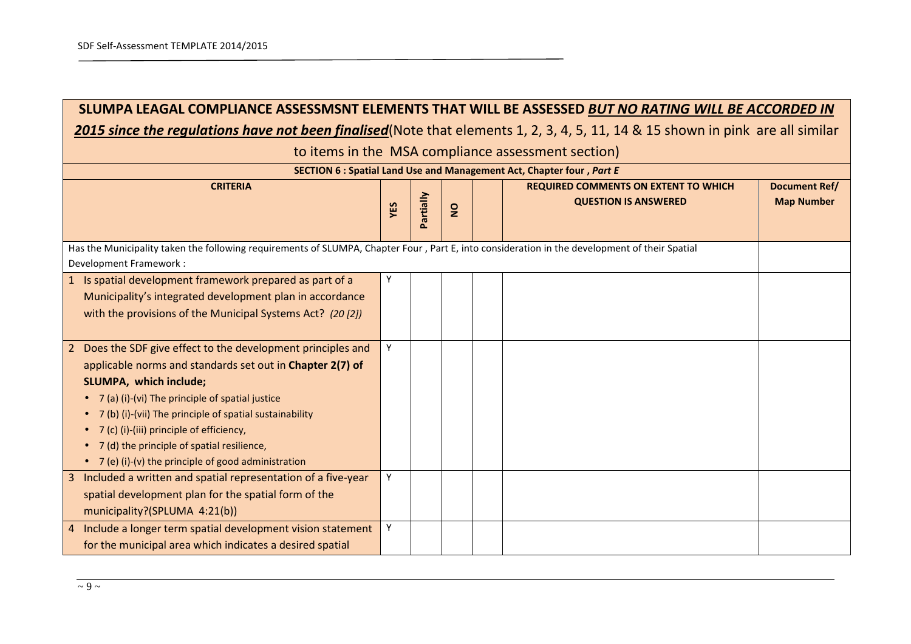$\blacksquare$ 

| SLUMPA LEAGAL COMPLIANCE ASSESSMSNT ELEMENTS THAT WILL BE ASSESSED BUT NO RATING WILL BE ACCORDED IN                                          |   |  |  |  |  |  |  |  |  |  |  |  |  |
|-----------------------------------------------------------------------------------------------------------------------------------------------|---|--|--|--|--|--|--|--|--|--|--|--|--|
| 2015 since the regulations have not been finalised (Note that elements 1, 2, 3, 4, 5, 11, 14 & 15 shown in pink are all similar               |   |  |  |  |  |  |  |  |  |  |  |  |  |
| to items in the MSA compliance assessment section)                                                                                            |   |  |  |  |  |  |  |  |  |  |  |  |  |
| SECTION 6 : Spatial Land Use and Management Act, Chapter four, Part E                                                                         |   |  |  |  |  |  |  |  |  |  |  |  |  |
| <b>CRITERIA</b><br><b>REQUIRED COMMENTS ON EXTENT TO WHICH</b><br><b>Document Ref/</b><br><b>Map Number</b>                                   |   |  |  |  |  |  |  |  |  |  |  |  |  |
| Partially<br><b>QUESTION IS ANSWERED</b><br>YES<br>$\frac{1}{2}$                                                                              |   |  |  |  |  |  |  |  |  |  |  |  |  |
|                                                                                                                                               |   |  |  |  |  |  |  |  |  |  |  |  |  |
| Has the Municipality taken the following requirements of SLUMPA, Chapter Four, Part E, into consideration in the development of their Spatial |   |  |  |  |  |  |  |  |  |  |  |  |  |
| Development Framework:                                                                                                                        |   |  |  |  |  |  |  |  |  |  |  |  |  |
| 1 Is spatial development framework prepared as part of a                                                                                      |   |  |  |  |  |  |  |  |  |  |  |  |  |
| Municipality's integrated development plan in accordance                                                                                      |   |  |  |  |  |  |  |  |  |  |  |  |  |
| with the provisions of the Municipal Systems Act? (20 [2])                                                                                    |   |  |  |  |  |  |  |  |  |  |  |  |  |
|                                                                                                                                               |   |  |  |  |  |  |  |  |  |  |  |  |  |
| 2 Does the SDF give effect to the development principles and                                                                                  | Y |  |  |  |  |  |  |  |  |  |  |  |  |
| applicable norms and standards set out in Chapter 2(7) of                                                                                     |   |  |  |  |  |  |  |  |  |  |  |  |  |
| SLUMPA, which include;                                                                                                                        |   |  |  |  |  |  |  |  |  |  |  |  |  |
| 7 (a) (i)-(vi) The principle of spatial justice                                                                                               |   |  |  |  |  |  |  |  |  |  |  |  |  |
| 7 (b) (i)-(vii) The principle of spatial sustainability                                                                                       |   |  |  |  |  |  |  |  |  |  |  |  |  |
| 7 (c) (i)-(iii) principle of efficiency,                                                                                                      |   |  |  |  |  |  |  |  |  |  |  |  |  |
| 7 (d) the principle of spatial resilience,                                                                                                    |   |  |  |  |  |  |  |  |  |  |  |  |  |
| • 7 (e) (i)-(v) the principle of good administration                                                                                          |   |  |  |  |  |  |  |  |  |  |  |  |  |
| 3 Included a written and spatial representation of a five-year                                                                                | Y |  |  |  |  |  |  |  |  |  |  |  |  |
| spatial development plan for the spatial form of the                                                                                          |   |  |  |  |  |  |  |  |  |  |  |  |  |
| municipality?(SPLUMA 4:21(b))                                                                                                                 |   |  |  |  |  |  |  |  |  |  |  |  |  |
| 4 Include a longer term spatial development vision statement                                                                                  | Y |  |  |  |  |  |  |  |  |  |  |  |  |
| for the municipal area which indicates a desired spatial                                                                                      |   |  |  |  |  |  |  |  |  |  |  |  |  |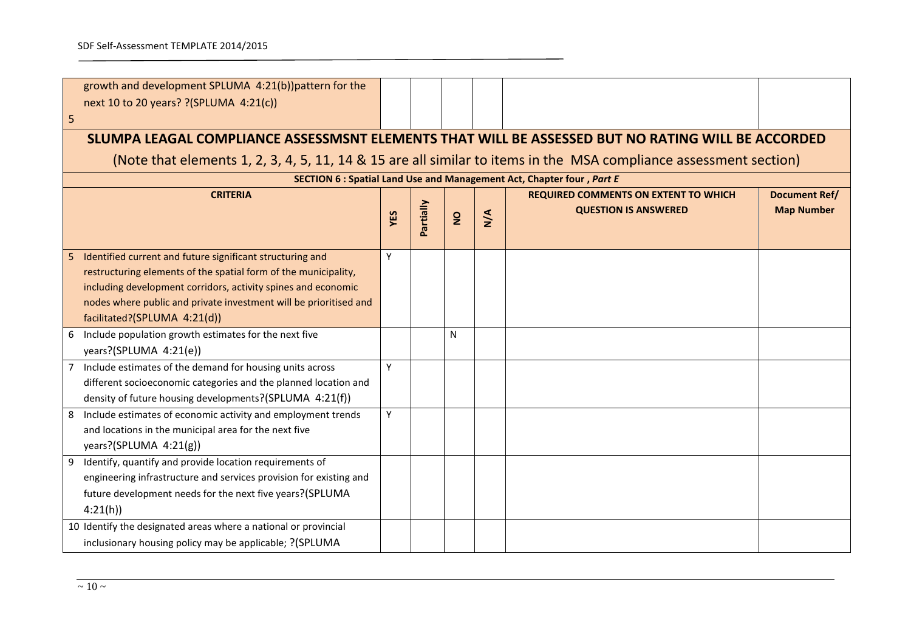|                                                                                                   | growth and development SPLUMA 4:21(b))pattern for the<br>next 10 to 20 years? ? (SPLUMA 4:21(c))                                                                                                                                                                                                   |     |           |                |               |                                                                            |                                           |  |  |  |  |
|---------------------------------------------------------------------------------------------------|----------------------------------------------------------------------------------------------------------------------------------------------------------------------------------------------------------------------------------------------------------------------------------------------------|-----|-----------|----------------|---------------|----------------------------------------------------------------------------|-------------------------------------------|--|--|--|--|
| 5                                                                                                 |                                                                                                                                                                                                                                                                                                    |     |           |                |               |                                                                            |                                           |  |  |  |  |
| SLUMPA LEAGAL COMPLIANCE ASSESSMSNT ELEMENTS THAT WILL BE ASSESSED BUT NO RATING WILL BE ACCORDED |                                                                                                                                                                                                                                                                                                    |     |           |                |               |                                                                            |                                           |  |  |  |  |
|                                                                                                   | (Note that elements 1, 2, 3, 4, 5, 11, 14 & 15 are all similar to items in the MSA compliance assessment section)                                                                                                                                                                                  |     |           |                |               |                                                                            |                                           |  |  |  |  |
| SECTION 6 : Spatial Land Use and Management Act, Chapter four, Part E                             |                                                                                                                                                                                                                                                                                                    |     |           |                |               |                                                                            |                                           |  |  |  |  |
|                                                                                                   | <b>CRITERIA</b>                                                                                                                                                                                                                                                                                    | YES | Partially | $\overline{2}$ | $\frac{4}{2}$ | <b>REQUIRED COMMENTS ON EXTENT TO WHICH</b><br><b>QUESTION IS ANSWERED</b> | <b>Document Ref/</b><br><b>Map Number</b> |  |  |  |  |
| 5                                                                                                 | Identified current and future significant structuring and<br>restructuring elements of the spatial form of the municipality,<br>including development corridors, activity spines and economic<br>nodes where public and private investment will be prioritised and<br>facilitated?(SPLUMA 4:21(d)) | Y   |           |                |               |                                                                            |                                           |  |  |  |  |
| 6                                                                                                 | Include population growth estimates for the next five<br>years?(SPLUMA 4:21(e))                                                                                                                                                                                                                    |     |           | N              |               |                                                                            |                                           |  |  |  |  |
|                                                                                                   | Include estimates of the demand for housing units across<br>different socioeconomic categories and the planned location and<br>density of future housing developments?(SPLUMA 4:21(f))                                                                                                             | Y   |           |                |               |                                                                            |                                           |  |  |  |  |
| 8                                                                                                 | Include estimates of economic activity and employment trends<br>and locations in the municipal area for the next five<br>years?(SPLUMA $4:21(g)$ )                                                                                                                                                 | Y   |           |                |               |                                                                            |                                           |  |  |  |  |
| 9                                                                                                 | Identify, quantify and provide location requirements of<br>engineering infrastructure and services provision for existing and<br>future development needs for the next five years?(SPLUMA                                                                                                          |     |           |                |               |                                                                            |                                           |  |  |  |  |

4:21(h))

10 Identify the designated areas where a national or provincial inclusionary housing policy may be applicable; ?(SPLUMA